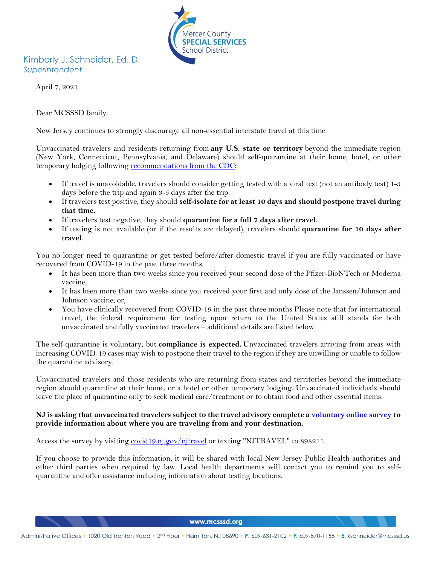

# Kimberly J. Schneider, Ed. D. *Superintendent*

April 7, 2021

Dear MCSSSD family:

New Jersey continues to strongly discourage all non-essential interstate travel at this time.

Unvaccinated travelers and residents returning from **any U.S. state or territory** beyond the immediate region (New York, Connecticut, Pennsylvania, and Delaware) should self-quarantine at their home, hotel, or other temporary lodging following [recommendations from the CDC:](https://www.cdc.gov/coronavirus/2019-ncov/travelers/travel-during-covid19.html)

- If travel is unavoidable, travelers should consider getting tested with a viral test (not an antibody test) 1-3 days before the trip and again 3-5 days after the trip.
- If travelers test positive, they should **self-isolate for at least 10 days and should postpone travel during that time.**
- If travelers test negative, they should **quarantine for a full 7 days after travel**.
- If testing is not available (or if the results are delayed), travelers should **quarantine for 10 days after travel**.

You no longer need to quarantine or get tested before/after domestic travel if you are fully vaccinated or have recovered from COVID-19 in the past three months:

- It has been more than two weeks since you received your second dose of the Pfizer-BioNTech or Moderna vaccine;
- It has been more than two weeks since you received your first and only dose of the Janssen/Johnson and Johnson vaccine; or,
- You have clinically recovered from COVID-19 in the past three months Please note that for international travel, the federal requirement for testing upon return to the United States still stands for both unvaccinated and fully vaccinated travelers – additional details are listed below.

The self-quarantine is voluntary, but **compliance is expected.** Unvaccinated travelers arriving from areas with increasing COVID-19 cases may wish to postpone their travel to the region if they are unwilling or unable to follow the quarantine advisory.

Unvaccinated travelers and those residents who are returning from states and territories beyond the immediate region should quarantine at their home, or a hotel or other temporary lodging. Unvaccinated individuals should leave the place of quarantine only to seek medical care/treatment or to obtain food and other essential items.

## **NJ is asking that unvaccinated travelers subject to the travel advisory complete a [voluntary online survey](https://covid19.nj.gov/njtravel) to provide information about where you are traveling from and your destination.**

Access the survey by visiting [covid19.nj.gov/njtravel](https://covid19.nj.gov/njtravel) or texting "NJTRAVEL" to 898211.

If you choose to provide this information, it will be shared with local New Jersey Public Health authorities and other third parties when required by law. Local health departments will contact you to remind you to selfquarantine and offer assistance including information about testing locations.

www.mcsssd.org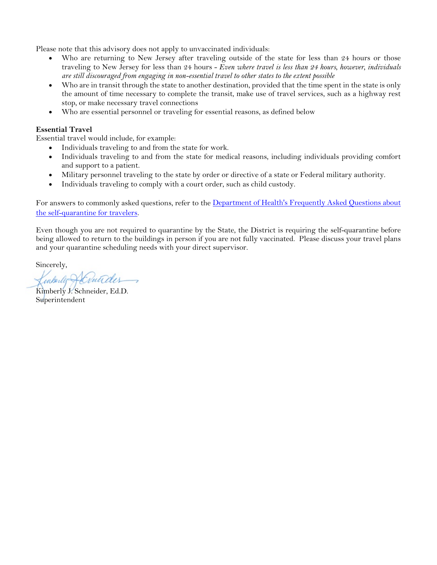Please note that this advisory does not apply to unvaccinated individuals:

- Who are returning to New Jersey after traveling outside of the state for less than 24 hours or those traveling to New Jersey for less than 24 hours - *Even where travel is less than 24 hours, however, individuals are still discouraged from engaging in non-essential travel to other states to the extent possible*
- Who are in transit through the state to another destination, provided that the time spent in the state is only the amount of time necessary to complete the transit, make use of travel services, such as a highway rest stop, or make necessary travel connections
- Who are essential personnel or traveling for essential reasons, as defined below

## **Essential Travel**

Essential travel would include, for example:

- Individuals traveling to and from the state for work.
- Individuals traveling to and from the state for medical reasons, including individuals providing comfort and support to a patient.
- Military personnel traveling to the state by order or directive of a state or Federal military authority.
- Individuals traveling to comply with a court order, such as child custody.

For answers to commonly asked questions, refer to the Department of Health's Frequently Asked Questions about [the self-quarantine for travelers.](https://www.state.nj.us/health/cd/documents/topics/NCOV/TravelRestrictions.pdf)

Even though you are not required to quarantine by the State, the District is requiring the self-quarantine before being allowed to return to the buildings in person if you are not fully vaccinated. Please discuss your travel plans and your quarantine scheduling needs with your direct supervisor.

Sincerely,

Kenberly Y. Schneider

**Superintendent**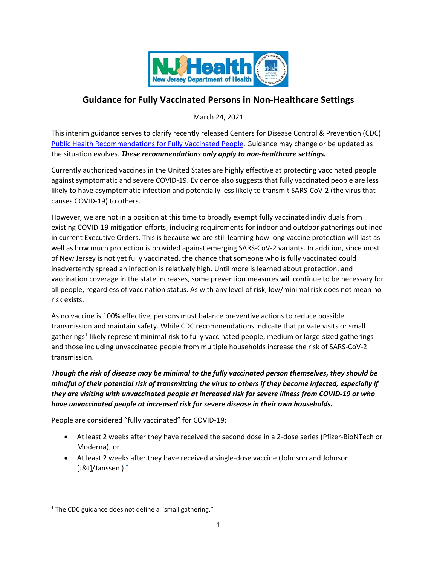

# **Guidance for Fully Vaccinated Persons in Non-Healthcare Settings**

March 24, 2021

This interim guidance serves to clarify recently released Centers for Disease Control & Prevention (CDC) [Public Health Recommendations for Fully Vaccinated People.](https://www.cdc.gov/coronavirus/2019-ncov/vaccines/fully-vaccinated-guidance.html#anchor_1615135598178) Guidance may change or be updated as the situation evolves. *These recommendations only apply to non-healthcare settings.*

Currently authorized vaccines in the United States are highly effective at protecting vaccinated people against symptomatic and severe COVID-19. Evidence also suggests that fully vaccinated people are less likely to have asymptomatic infection and potentially less likely to transmit SARS-CoV-2 (the virus that causes COVID-19) to others.

However, we are not in a position at this time to broadly exempt fully vaccinated individuals from existing COVID-19 mitigation efforts, including requirements for indoor and outdoor gatherings outlined in current Executive Orders. This is because we are still learning how long vaccine protection will last as well as how much protection is provided against emerging SARS-CoV-2 variants. In addition, since most of New Jersey is not yet fully vaccinated, the chance that someone who is fully vaccinated could inadvertently spread an infection is relatively high. Until more is learned about protection, and vaccination coverage in the state increases, some prevention measures will continue to be necessary for all people, regardless of vaccination status. As with any level of risk, low/minimal risk does not mean no risk exists.

As no vaccine is 100% effective, persons must balance preventive actions to reduce possible transmission and maintain safety. While CDC recommendations indicate that private visits or small [gatherings](https://www.cdc.gov/coronavirus/2019-ncov/community/large-events/considerations-for-events-gatherings.html)<sup>[1](#page-2-0)</sup> likely represent minimal risk to fully vaccinated people, medium or large-sized gatherings and those including unvaccinated people from multiple households increase the risk of SARS-CoV-2 transmission.

*Though the risk of disease may be minimal to the fully vaccinated person themselves, they should be mindful of their potential risk of transmitting the virus to others if they become infected, especially if they are visiting with unvaccinated people at increased risk for [severe illness from COVID-19](https://www.cdc.gov/coronavirus/2019-ncov/need-extra-precautions/index.html) or who have unvaccinated people at increased risk for severe disease in their own households.*

People are considered "fully vaccinated" for COVID-19:

- At least 2 weeks after they have received the second dose in a 2-dose series (Pfizer-BioNTech or Moderna); or
- At least 2 weeks after they have received a single-dose vaccine (Johnson and Johnson [J&J]/Janssen $).^{\dagger}$

<span id="page-2-0"></span> $1$  The CDC guidance does not define a "small gathering."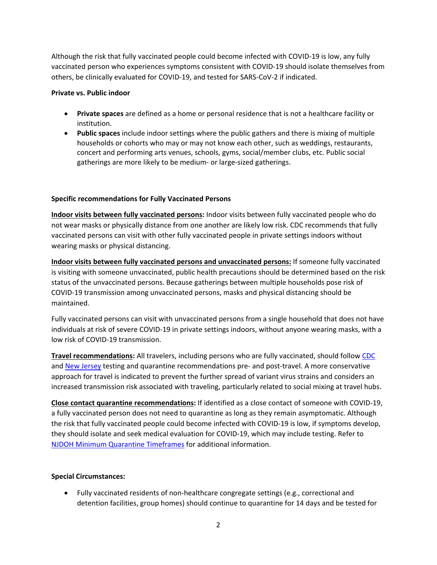Although the risk that fully vaccinated people could become infected with COVID-19 is low, any fully vaccinated person who experiences [symptoms consistent with COVID-19](https://www.cdc.gov/coronavirus/2019-ncov/symptoms-testing/symptoms.html) should [isolate themselves from](https://www.cdc.gov/coronavirus/2019-ncov/if-you-are-sick/isolation.html)  [others,](https://www.cdc.gov/coronavirus/2019-ncov/if-you-are-sick/isolation.html) be clinically evaluated for COVID-19, and tested for SARS-CoV-2 if indicated.

#### **Private vs. Public indoor**

- **Private spaces** are defined as a home or personal residence that is not a healthcare facility or institution.
- **Public spaces** include indoor settings where the public gathers and there is mixing of multiple households or cohorts who may or may not know each other, such as weddings, restaurants, concert and performing arts venues, schools, gyms, social/member clubs, etc. Public social gatherings are more likely to be medium- or large-sized gatherings.

# **Specific recommendations for Fully Vaccinated Persons**

**Indoor visits between fully vaccinated persons:** Indoor visits between fully vaccinated people who do not wear masks or physically distance from one another are likely low risk. CDC recommends that fully vaccinated persons can visit with other fully vaccinated people in private settings indoors without wearing masks or physical distancing.

**Indoor visits between fully vaccinated persons and unvaccinated persons:** If someone fully vaccinated is visiting with someone unvaccinated, public health precautions should be determined based on the risk status of the unvaccinated persons. Because gatherings between multiple households pose risk of COVID-19 transmission among unvaccinated persons, masks and physical distancing should be maintained.

Fully vaccinated persons can visit with unvaccinated persons from a single household that does not have individuals at risk of severe COVID-19 in private settings indoors, without anyone wearing masks, with a low risk of COVID-19 transmission.

**Travel recommendations:** All travelers, including persons who are fully vaccinated, should follo[w CDC](https://www.cdc.gov/coronavirus/2019-ncov/travelers/travel-during-covid19.html) and [New Jersey](https://covid19.nj.gov/faqs/nj-information/travel-and-transportation/are-there-travel-restrictions-to-or-from-new-jersey#direct-link) testing and quarantine recommendations pre- and post-travel. A more conservative approach for travel is indicated to prevent the further spread of variant virus strains and considers an increased transmission risk associated with traveling, particularly related to social mixing at travel hubs.

**Close contact quarantine recommendations:** If identified as a close contact of someone with COVID-19, a fully vaccinated person does not need to quarantine as long as they remain asymptomatic. Although the risk that fully vaccinated people could become infected with COVID-19 is low, if symptoms develop, they should isolate and seek medical evaluation for COVID-19, which may include testing. Refer to [NJDOH Minimum Quarantine Timeframes](https://www.state.nj.us/health/cd/documents/topics/NCOV/COVID_updated_quarantine_timeframes.pdf) for additional information.

# **Special Circumstances:**

• Fully vaccinated residents of non-healthcare congregate settings (e.g., correctional and detention facilities, group homes) should continue to quarantine for 14 days and be tested for